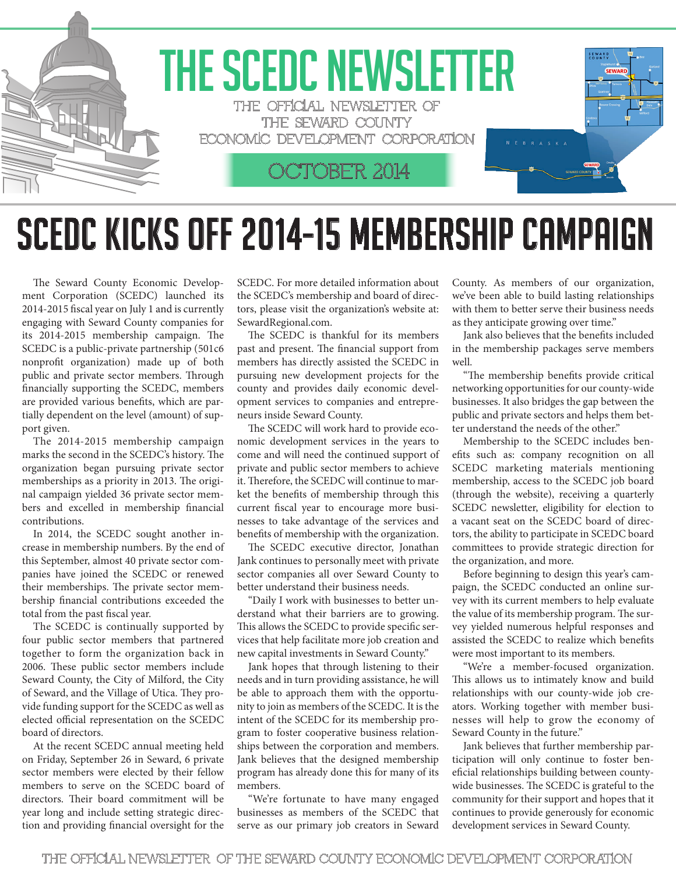

## SCEDC KICKS OFF 2014-15 MEMBERSHIP CAMPAIGN

The Seward County Economic Development Corporation (SCEDC) launched its 2014-2015 fiscal year on July 1 and is currently engaging with Seward County companies for its 2014-2015 membership campaign. The SCEDC is a public-private partnership (501c6 nonprofit organization) made up of both public and private sector members. Through financially supporting the SCEDC, members are provided various benefits, which are partially dependent on the level (amount) of support given.

The 2014-2015 membership campaign marks the second in the SCEDC's history. The organization began pursuing private sector memberships as a priority in 2013. The original campaign yielded 36 private sector members and excelled in membership financial contributions.

In 2014, the SCEDC sought another increase in membership numbers. By the end of this September, almost 40 private sector companies have joined the SCEDC or renewed their memberships. The private sector membership financial contributions exceeded the total from the past fiscal year.

The SCEDC is continually supported by four public sector members that partnered together to form the organization back in 2006. These public sector members include Seward County, the City of Milford, the City of Seward, and the Village of Utica. They provide funding support for the SCEDC as well as elected official representation on the SCEDC board of directors.

At the recent SCEDC annual meeting held on Friday, September 26 in Seward, 6 private sector members were elected by their fellow members to serve on the SCEDC board of directors. Their board commitment will be year long and include setting strategic direction and providing financial oversight for the SCEDC. For more detailed information about the SCEDC's membership and board of directors, please visit the organization's website at: SewardRegional.com.

The SCEDC is thankful for its members past and present. The financial support from members has directly assisted the SCEDC in pursuing new development projects for the county and provides daily economic development services to companies and entrepreneurs inside Seward County.

The SCEDC will work hard to provide economic development services in the years to come and will need the continued support of private and public sector members to achieve it. Therefore, the SCEDC will continue to market the benefits of membership through this current fiscal year to encourage more businesses to take advantage of the services and benefits of membership with the organization.

The SCEDC executive director, Jonathan Jank continues to personally meet with private sector companies all over Seward County to better understand their business needs.

"Daily I work with businesses to better understand what their barriers are to growing. This allows the SCEDC to provide specific services that help facilitate more job creation and new capital investments in Seward County."

Jank hopes that through listening to their needs and in turn providing assistance, he will be able to approach them with the opportunity to join as members of the SCEDC. It is the intent of the SCEDC for its membership program to foster cooperative business relationships between the corporation and members. Jank believes that the designed membership program has already done this for many of its members.

"We're fortunate to have many engaged businesses as members of the SCEDC that serve as our primary job creators in Seward County. As members of our organization, we've been able to build lasting relationships with them to better serve their business needs as they anticipate growing over time."

Jank also believes that the benefits included in the membership packages serve members well.

"The membership benefits provide critical networking opportunities for our county-wide businesses. It also bridges the gap between the public and private sectors and helps them better understand the needs of the other."

Membership to the SCEDC includes benefits such as: company recognition on all SCEDC marketing materials mentioning membership, access to the SCEDC job board (through the website), receiving a quarterly SCEDC newsletter, eligibility for election to a vacant seat on the SCEDC board of directors, the ability to participate in SCEDC board committees to provide strategic direction for the organization, and more.

Before beginning to design this year's campaign, the SCEDC conducted an online survey with its current members to help evaluate the value of its membership program. The survey yielded numerous helpful responses and assisted the SCEDC to realize which benefits were most important to its members.

"We're a member-focused organization. This allows us to intimately know and build relationships with our county-wide job creators. Working together with member businesses will help to grow the economy of Seward County in the future."

Jank believes that further membership participation will only continue to foster beneficial relationships building between countywide businesses. The SCEDC is grateful to the community for their support and hopes that it continues to provide generously for economic development services in Seward County.